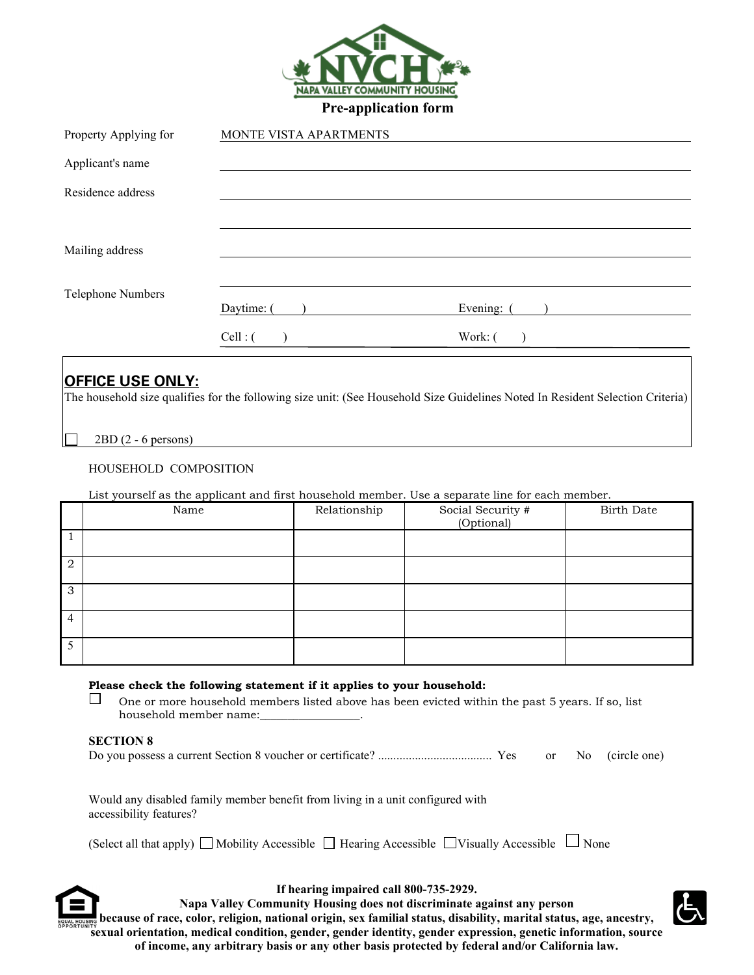

| Property Applying for | MONTE VISTA APARTMENTS |            |
|-----------------------|------------------------|------------|
| Applicant's name      |                        |            |
| Residence address     |                        |            |
|                       |                        |            |
| Mailing address       |                        |            |
|                       |                        |            |
| Telephone Numbers     | Daytime: (             | Evening: ( |
|                       | $Cell:$ (              | Work: (    |

# **OFFICE USE ONLY:**

The household size qualifies for the following size unit: (See Household Size Guidelines Noted In Resident Selection Criteria)

2BD (2 - 6 persons)

## HOUSEHOLD COMPOSITION

List yourself as the applicant and first household member. Use a separate line for each member.

|                | Name | Relationship | Social Security #<br>(Optional) | <b>Birth Date</b> |
|----------------|------|--------------|---------------------------------|-------------------|
|                |      |              |                                 |                   |
| $\overline{2}$ |      |              |                                 |                   |
| 3              |      |              |                                 |                   |
| 4              |      |              |                                 |                   |
| 5              |      |              |                                 |                   |

#### **Please check the following statement if it applies to your household:**

One or more household members listed above has been evicted within the past 5 years. If so, list household member name:

## **SECTION 8**

 $\Box$ 

|--|--|--|--|--|

Would any disabled family member benefit from living in a unit configured with accessibility features?

| (Select all that apply) $\Box$ Mobility Accessible $\Box$ Hearing Accessible $\Box$ Visually Accessible $\Box$ None |  |
|---------------------------------------------------------------------------------------------------------------------|--|
|---------------------------------------------------------------------------------------------------------------------|--|